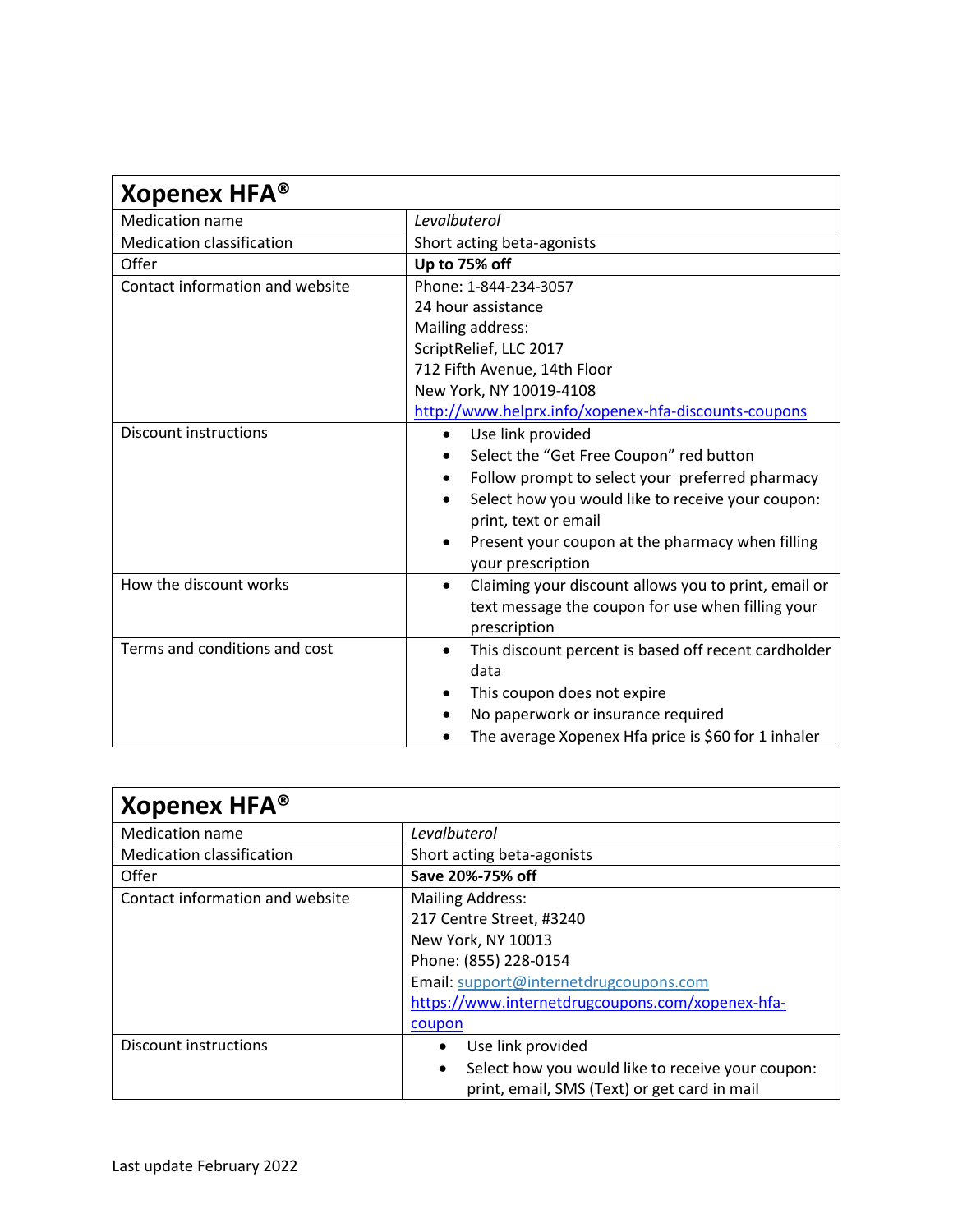| Xopenex HFA <sup>®</sup>         |                                                                   |
|----------------------------------|-------------------------------------------------------------------|
| <b>Medication name</b>           | Levalbuterol                                                      |
| <b>Medication classification</b> | Short acting beta-agonists                                        |
| Offer                            | Up to 75% off                                                     |
| Contact information and website  | Phone: 1-844-234-3057                                             |
|                                  | 24 hour assistance                                                |
|                                  | Mailing address:                                                  |
|                                  | ScriptRelief, LLC 2017                                            |
|                                  | 712 Fifth Avenue, 14th Floor                                      |
|                                  | New York, NY 10019-4108                                           |
|                                  | http://www.helprx.info/xopenex-hfa-discounts-coupons              |
| <b>Discount instructions</b>     | Use link provided<br>$\bullet$                                    |
|                                  | Select the "Get Free Coupon" red button                           |
|                                  | Follow prompt to select your preferred pharmacy                   |
|                                  | Select how you would like to receive your coupon:<br>$\bullet$    |
|                                  | print, text or email                                              |
|                                  | Present your coupon at the pharmacy when filling                  |
|                                  | your prescription                                                 |
| How the discount works           | Claiming your discount allows you to print, email or<br>$\bullet$ |
|                                  | text message the coupon for use when filling your                 |
|                                  | prescription                                                      |
| Terms and conditions and cost    | This discount percent is based off recent cardholder<br>$\bullet$ |
|                                  | data                                                              |
|                                  | This coupon does not expire                                       |
|                                  | No paperwork or insurance required                                |
|                                  | The average Xopenex Hfa price is \$60 for 1 inhaler               |

| Xopenex HFA <sup>®</sup>         |                                                                |
|----------------------------------|----------------------------------------------------------------|
| <b>Medication name</b>           | Levalbuterol                                                   |
| <b>Medication classification</b> | Short acting beta-agonists                                     |
| Offer                            | Save 20%-75% off                                               |
| Contact information and website  | <b>Mailing Address:</b>                                        |
|                                  | 217 Centre Street, #3240                                       |
|                                  | New York, NY 10013                                             |
|                                  | Phone: (855) 228-0154                                          |
|                                  | Email: support@internetdrugcoupons.com                         |
|                                  | https://www.internetdrugcoupons.com/xopenex-hfa-               |
|                                  | coupon                                                         |
| Discount instructions            | Use link provided                                              |
|                                  | Select how you would like to receive your coupon:<br>$\bullet$ |
|                                  | print, email, SMS (Text) or get card in mail                   |